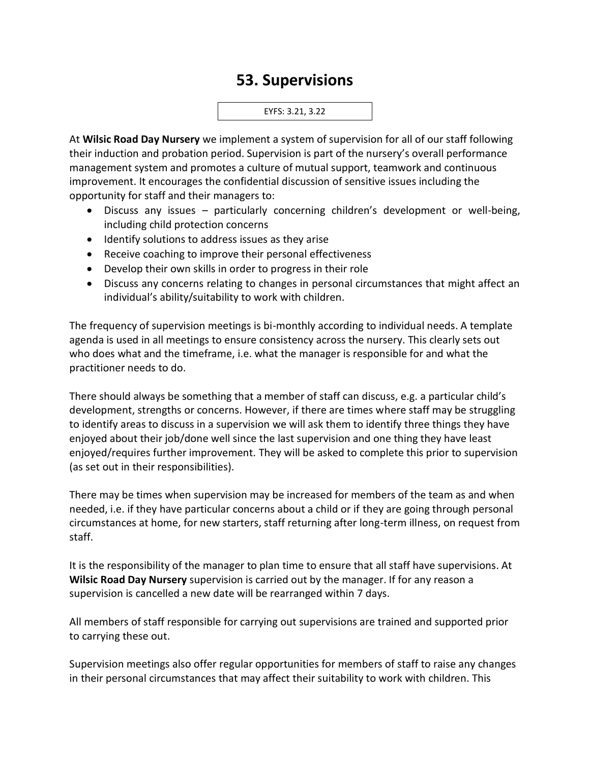## **53. Supervisions**

EYFS: 3.21, 3.22

At **Wilsic Road Day Nursery** we implement a system of supervision for all of our staff following their induction and probation period. Supervision is part of the nursery's overall performance management system and promotes a culture of mutual support, teamwork and continuous improvement. It encourages the confidential discussion of sensitive issues including the opportunity for staff and their managers to:

- Discuss any issues particularly concerning children's development or well-being, including child protection concerns
- Identify solutions to address issues as they arise
- Receive coaching to improve their personal effectiveness
- Develop their own skills in order to progress in their role
- Discuss any concerns relating to changes in personal circumstances that might affect an individual's ability/suitability to work with children.

The frequency of supervision meetings is bi-monthly according to individual needs. A template agenda is used in all meetings to ensure consistency across the nursery. This clearly sets out who does what and the timeframe, i.e. what the manager is responsible for and what the practitioner needs to do.

There should always be something that a member of staff can discuss, e.g. a particular child's development, strengths or concerns. However, if there are times where staff may be struggling to identify areas to discuss in a supervision we will ask them to identify three things they have enjoyed about their job/done well since the last supervision and one thing they have least enjoyed/requires further improvement. They will be asked to complete this prior to supervision (as set out in their responsibilities).

There may be times when supervision may be increased for members of the team as and when needed, i.e. if they have particular concerns about a child or if they are going through personal circumstances at home, for new starters, staff returning after long-term illness, on request from staff.

It is the responsibility of the manager to plan time to ensure that all staff have supervisions. At **Wilsic Road Day Nursery** supervision is carried out by the manager. If for any reason a supervision is cancelled a new date will be rearranged within 7 days.

All members of staff responsible for carrying out supervisions are trained and supported prior to carrying these out.

Supervision meetings also offer regular opportunities for members of staff to raise any changes in their personal circumstances that may affect their suitability to work with children. This